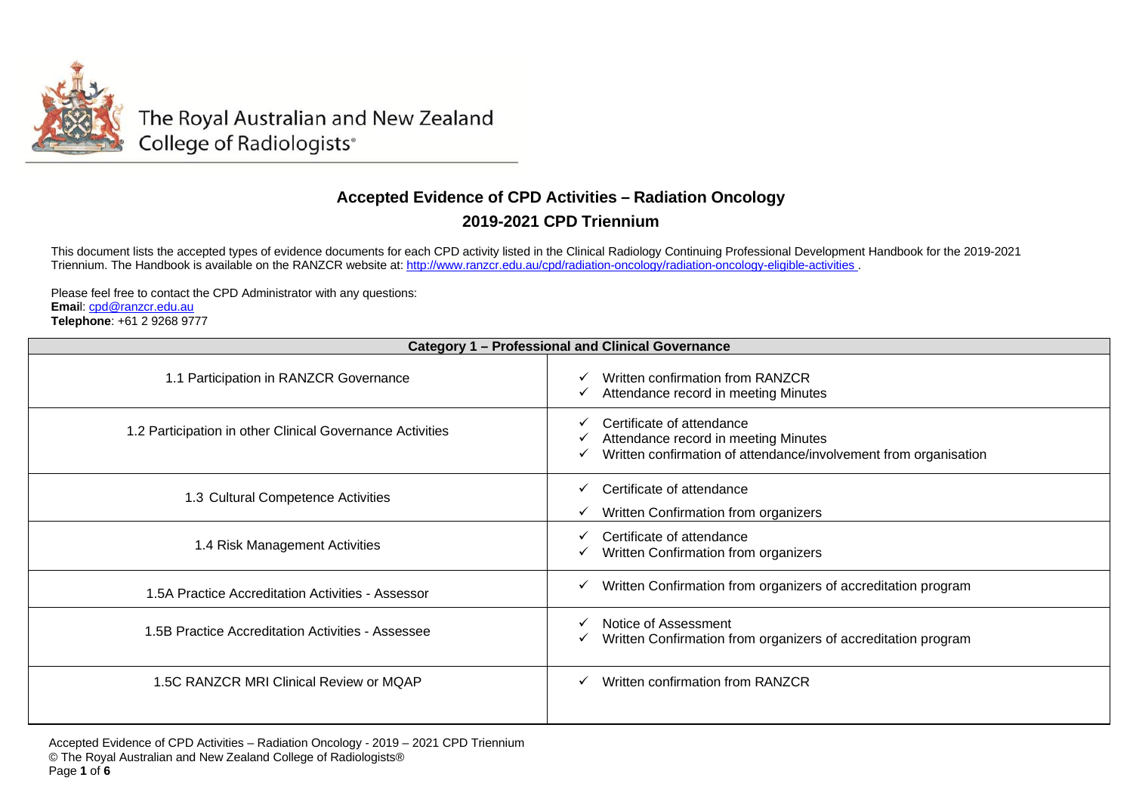

The Royal Australian and New Zealand College of Radiologists®

## **Accepted Evidence of CPD Activities – Radiation Oncology 2019-2021 CPD Triennium**

This document lists the accepted types of evidence documents for each CPD activity listed in the Clinical Radiology Continuing Professional Development Handbook for the 2019-2021 Triennium. The Handbook is available on the RANZCR website at: <u><http://www.ranzcr.edu.au/cpd/radiation-oncology/radiation-oncology-eligible-activities> .</u>

Please feel free to contact the CPD Administrator with any questions: **Emai**l: cpd@ranzcr.edu.au **Telephone**: +61 2 9268 9777

| <b>Category 1 - Professional and Clinical Governance</b>  |                                                                                                                                       |  |
|-----------------------------------------------------------|---------------------------------------------------------------------------------------------------------------------------------------|--|
| 1.1 Participation in RANZCR Governance                    | Written confirmation from RANZCR<br>Attendance record in meeting Minutes                                                              |  |
| 1.2 Participation in other Clinical Governance Activities | Certificate of attendance<br>Attendance record in meeting Minutes<br>Written confirmation of attendance/involvement from organisation |  |
| 1.3 Cultural Competence Activities                        | Certificate of attendance<br>Written Confirmation from organizers                                                                     |  |
| 1.4 Risk Management Activities                            | Certificate of attendance<br>Written Confirmation from organizers                                                                     |  |
| 1.5A Practice Accreditation Activities - Assessor         | Written Confirmation from organizers of accreditation program                                                                         |  |
| 1.5B Practice Accreditation Activities - Assessee         | Notice of Assessment<br>Written Confirmation from organizers of accreditation program                                                 |  |
| 1.5C RANZCR MRI Clinical Review or MQAP                   | Written confirmation from RANZCR                                                                                                      |  |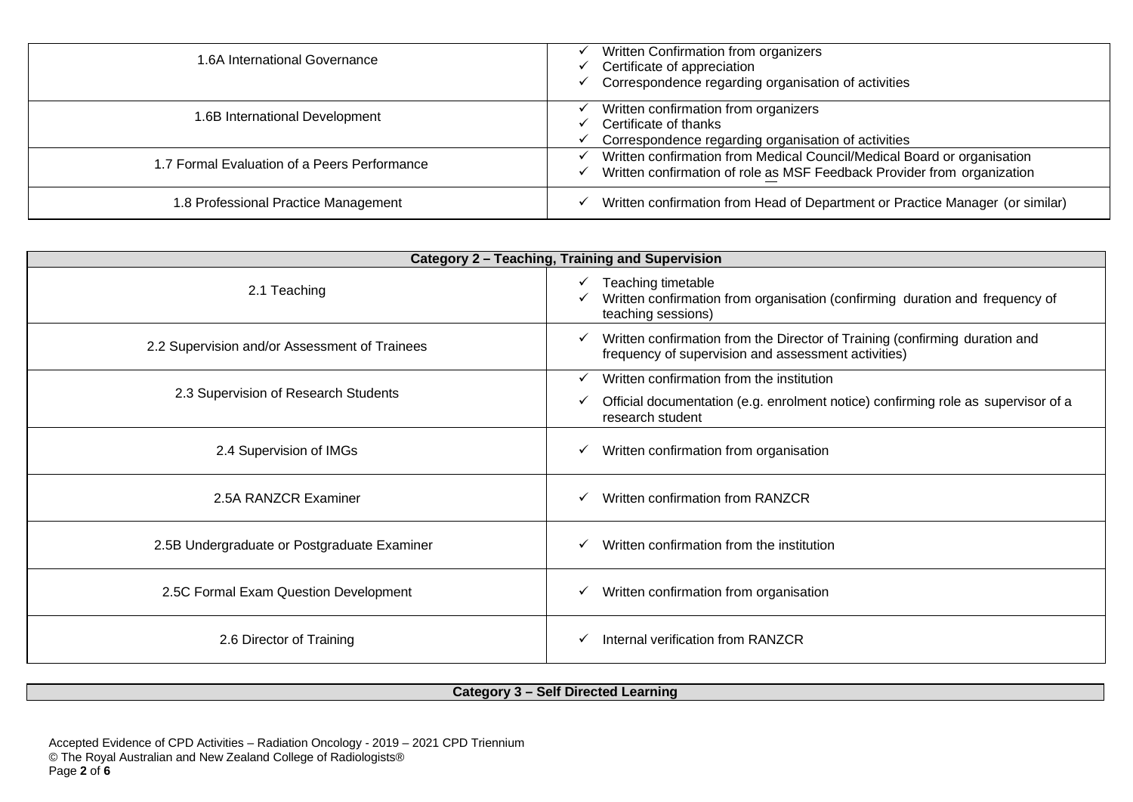| 1.6A International Governance                | Written Confirmation from organizers<br>Certificate of appreciation<br>Correspondence regarding organisation of activities                         |
|----------------------------------------------|----------------------------------------------------------------------------------------------------------------------------------------------------|
| 1.6B International Development               | Written confirmation from organizers<br>Certificate of thanks<br>Correspondence regarding organisation of activities                               |
| 1.7 Formal Evaluation of a Peers Performance | Written confirmation from Medical Council/Medical Board or organisation<br>Written confirmation of role as MSF Feedback Provider from organization |
| 1.8 Professional Practice Management         | Written confirmation from Head of Department or Practice Manager (or similar)                                                                      |

| Category 2 - Teaching, Training and Supervision |                                                                                                                                          |
|-------------------------------------------------|------------------------------------------------------------------------------------------------------------------------------------------|
| 2.1 Teaching                                    | Teaching timetable<br>$\checkmark$<br>Written confirmation from organisation (confirming duration and frequency of<br>teaching sessions) |
| 2.2 Supervision and/or Assessment of Trainees   | Written confirmation from the Director of Training (confirming duration and<br>✓<br>frequency of supervision and assessment activities)  |
| 2.3 Supervision of Research Students            | Written confirmation from the institution                                                                                                |
|                                                 | Official documentation (e.g. enrolment notice) confirming role as supervisor of a<br>research student                                    |
| 2.4 Supervision of IMGs                         | Written confirmation from organisation<br>✓                                                                                              |
| 2.5A RANZCR Examiner                            | Written confirmation from RANZCR                                                                                                         |
| 2.5B Undergraduate or Postgraduate Examiner     | Written confirmation from the institution                                                                                                |
| 2.5C Formal Exam Question Development           | Written confirmation from organisation                                                                                                   |
| 2.6 Director of Training                        | Internal verification from RANZCR<br>✓                                                                                                   |

## **Category 3 – Self Directed Learning**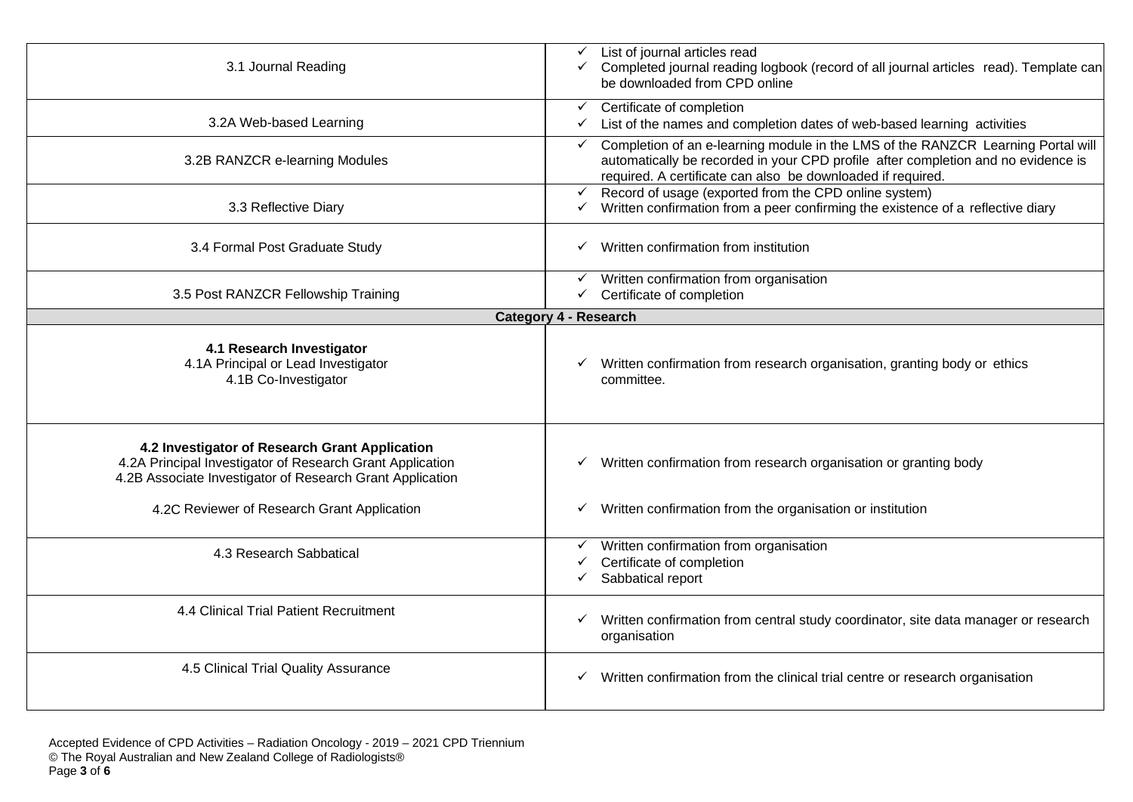| 3.1 Journal Reading                                                                                                                                                      | List of journal articles read<br>✓<br>Completed journal reading logbook (record of all journal articles read). Template can<br>✓<br>be downloaded from CPD online                                                                                    |
|--------------------------------------------------------------------------------------------------------------------------------------------------------------------------|------------------------------------------------------------------------------------------------------------------------------------------------------------------------------------------------------------------------------------------------------|
| 3.2A Web-based Learning                                                                                                                                                  | Certificate of completion<br>$\checkmark$<br>List of the names and completion dates of web-based learning activities<br>✓                                                                                                                            |
| 3.2B RANZCR e-learning Modules                                                                                                                                           | Completion of an e-learning module in the LMS of the RANZCR Learning Portal will<br>$\checkmark$<br>automatically be recorded in your CPD profile after completion and no evidence is<br>required. A certificate can also be downloaded if required. |
| 3.3 Reflective Diary                                                                                                                                                     | Record of usage (exported from the CPD online system)<br>$\checkmark$<br>Written confirmation from a peer confirming the existence of a reflective diary<br>✓                                                                                        |
| 3.4 Formal Post Graduate Study                                                                                                                                           | Written confirmation from institution<br>$\checkmark$                                                                                                                                                                                                |
| 3.5 Post RANZCR Fellowship Training                                                                                                                                      | Written confirmation from organisation<br>Certificate of completion<br>$\checkmark$                                                                                                                                                                  |
|                                                                                                                                                                          | <b>Category 4 - Research</b>                                                                                                                                                                                                                         |
| 4.1 Research Investigator<br>4.1A Principal or Lead Investigator<br>4.1B Co-Investigator                                                                                 | Written confirmation from research organisation, granting body or ethics<br>committee.                                                                                                                                                               |
| 4.2 Investigator of Research Grant Application<br>4.2A Principal Investigator of Research Grant Application<br>4.2B Associate Investigator of Research Grant Application | $\checkmark$ Written confirmation from research organisation or granting body                                                                                                                                                                        |
| 4.2C Reviewer of Research Grant Application                                                                                                                              | Written confirmation from the organisation or institution<br>✓                                                                                                                                                                                       |
| 4.3 Research Sabbatical                                                                                                                                                  | Written confirmation from organisation<br>$\checkmark$<br>Certificate of completion<br>Sabbatical report                                                                                                                                             |
| 4.4 Clinical Trial Patient Recruitment                                                                                                                                   | Written confirmation from central study coordinator, site data manager or research<br>$\checkmark$<br>organisation                                                                                                                                   |
| 4.5 Clinical Trial Quality Assurance                                                                                                                                     | $\checkmark$ Written confirmation from the clinical trial centre or research organisation                                                                                                                                                            |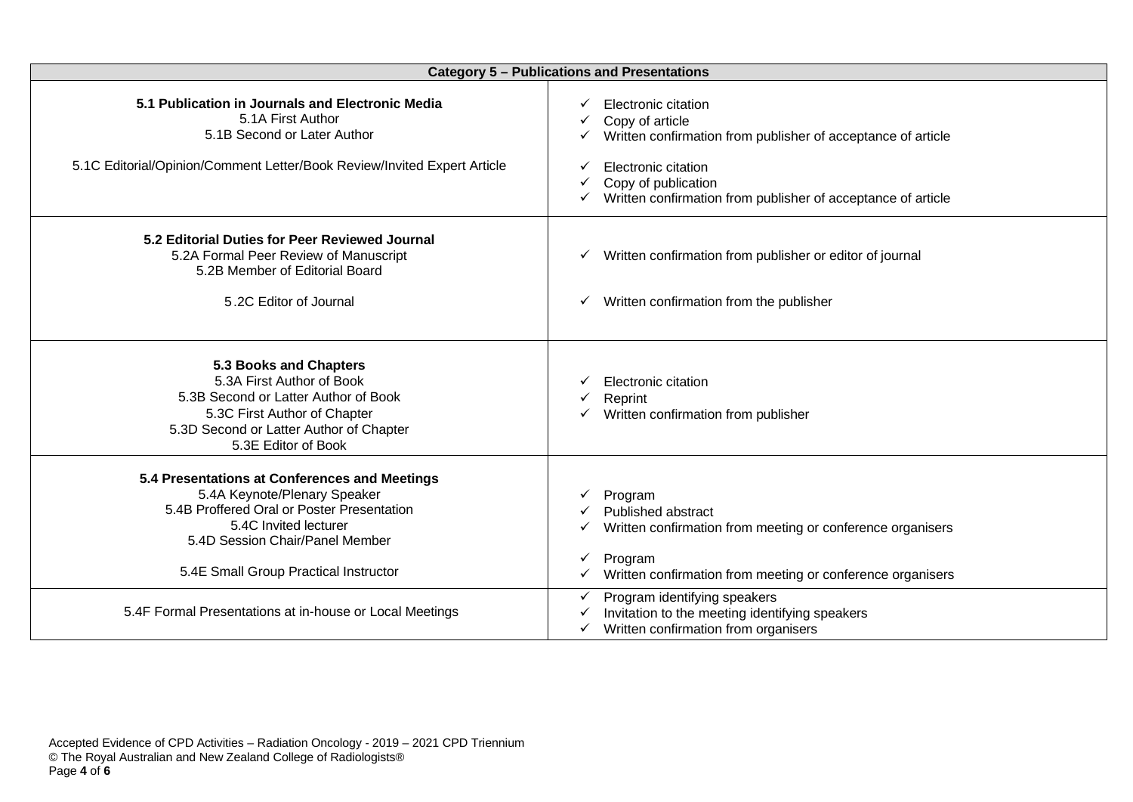| <b>Category 5 - Publications and Presentations</b>                                                                                                                                                                               |                                                                                                                                                                                                                      |
|----------------------------------------------------------------------------------------------------------------------------------------------------------------------------------------------------------------------------------|----------------------------------------------------------------------------------------------------------------------------------------------------------------------------------------------------------------------|
| 5.1 Publication in Journals and Electronic Media<br>5.1A First Author<br>5.1B Second or Later Author<br>5.1C Editorial/Opinion/Comment Letter/Book Review/Invited Expert Article                                                 | Electronic citation<br>Copy of article<br>Written confirmation from publisher of acceptance of article<br>Electronic citation<br>Copy of publication<br>Written confirmation from publisher of acceptance of article |
| 5.2 Editorial Duties for Peer Reviewed Journal<br>5.2A Formal Peer Review of Manuscript<br>5.2B Member of Editorial Board<br>5.2C Editor of Journal                                                                              | Written confirmation from publisher or editor of journal<br>✓<br>Written confirmation from the publisher<br>✓                                                                                                        |
| 5.3 Books and Chapters<br>5.3A First Author of Book<br>5.3B Second or Latter Author of Book<br>5.3C First Author of Chapter<br>5.3D Second or Latter Author of Chapter<br>5.3E Editor of Book                                    | Electronic citation<br>Reprint<br>Written confirmation from publisher                                                                                                                                                |
| 5.4 Presentations at Conferences and Meetings<br>5.4A Keynote/Plenary Speaker<br>5.4B Proffered Oral or Poster Presentation<br>5.4C Invited lecturer<br>5.4D Session Chair/Panel Member<br>5.4E Small Group Practical Instructor | Program<br>Published abstract<br>Written confirmation from meeting or conference organisers<br>Program<br>Written confirmation from meeting or conference organisers                                                 |
| 5.4F Formal Presentations at in-house or Local Meetings                                                                                                                                                                          | Program identifying speakers<br>Invitation to the meeting identifying speakers<br>Written confirmation from organisers                                                                                               |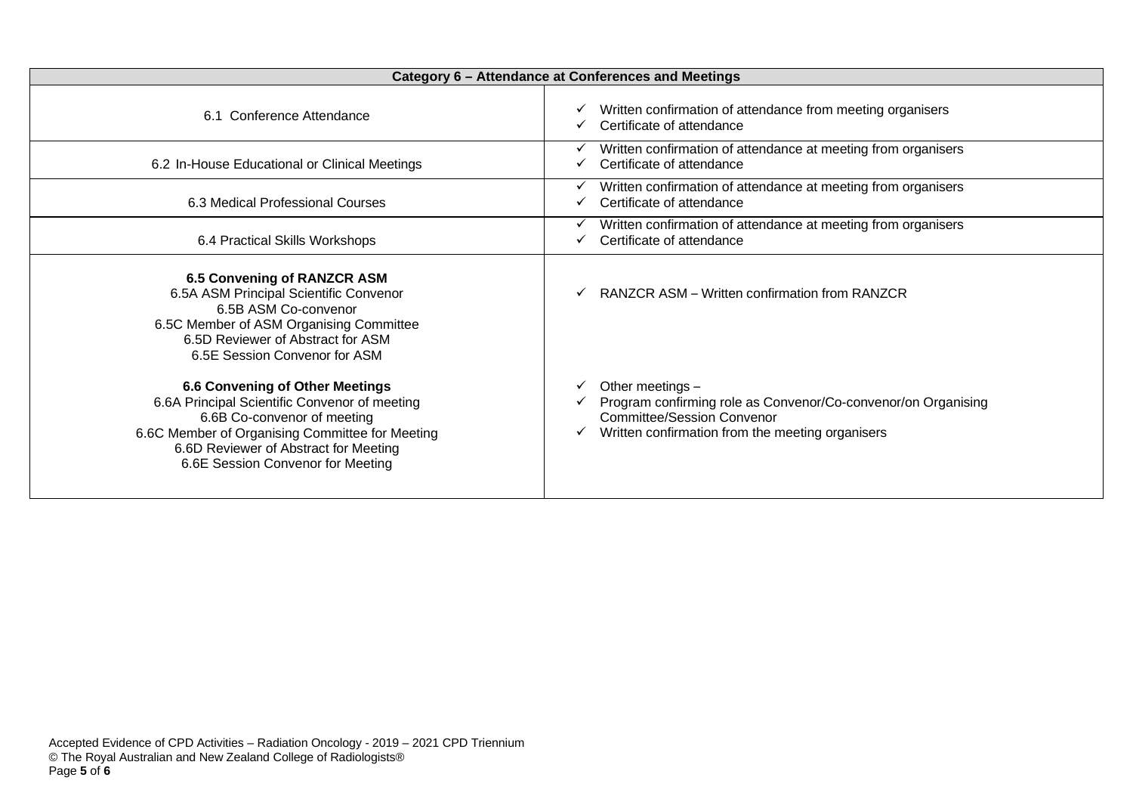| Category 6 - Attendance at Conferences and Meetings                                                                                                                                                                                                     |                                                                                                                                                                            |
|---------------------------------------------------------------------------------------------------------------------------------------------------------------------------------------------------------------------------------------------------------|----------------------------------------------------------------------------------------------------------------------------------------------------------------------------|
| 6.1 Conference Attendance                                                                                                                                                                                                                               | Written confirmation of attendance from meeting organisers<br>Certificate of attendance                                                                                    |
| 6.2 In-House Educational or Clinical Meetings                                                                                                                                                                                                           | Written confirmation of attendance at meeting from organisers<br>Certificate of attendance                                                                                 |
| 6.3 Medical Professional Courses                                                                                                                                                                                                                        | Written confirmation of attendance at meeting from organisers<br>Certificate of attendance                                                                                 |
| 6.4 Practical Skills Workshops                                                                                                                                                                                                                          | Written confirmation of attendance at meeting from organisers<br>Certificate of attendance                                                                                 |
| <b>6.5 Convening of RANZCR ASM</b><br>6.5A ASM Principal Scientific Convenor<br>6.5B ASM Co-convenor<br>6.5C Member of ASM Organising Committee<br>6.5D Reviewer of Abstract for ASM<br>6.5E Session Convenor for ASM                                   | RANZCR ASM – Written confirmation from RANZCR                                                                                                                              |
| <b>6.6 Convening of Other Meetings</b><br>6.6A Principal Scientific Convenor of meeting<br>6.6B Co-convenor of meeting<br>6.6C Member of Organising Committee for Meeting<br>6.6D Reviewer of Abstract for Meeting<br>6.6E Session Convenor for Meeting | Other meetings -<br>Program confirming role as Convenor/Co-convenor/on Organising<br><b>Committee/Session Convenor</b><br>Written confirmation from the meeting organisers |